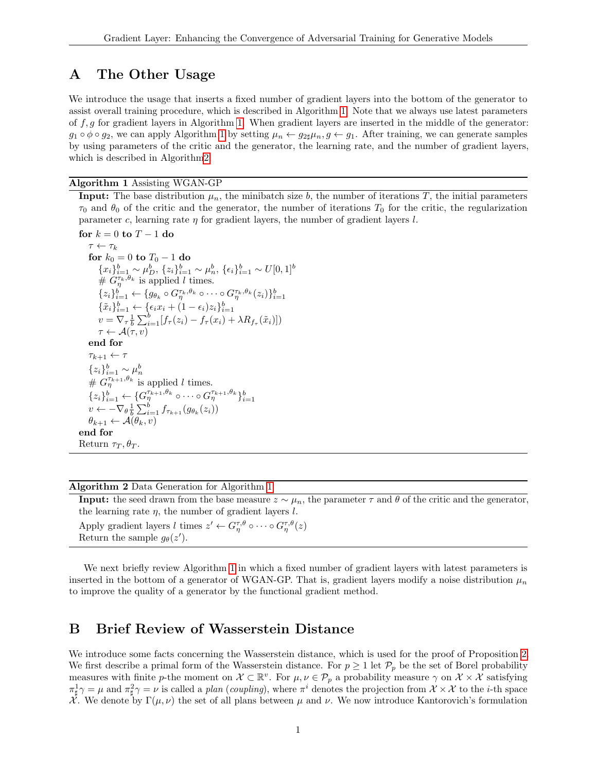# <span id="page-0-2"></span>A The Other Usage

We introduce the usage that inserts a fixed number of gradient layers into the bottom of the generator to assist overall training procedure, which is described in Algorithm [1.](#page-0-0) Note that we always use latest parameters of  $f, g$  for gradient layers in Algorithm [1.](#page-0-0) When gradient layers are inserted in the middle of the generator:  $g_1 \circ \phi \circ g_2$ , we can apply Algorithm [1](#page-0-0) by setting  $\mu_n \leftarrow g_{2\sharp}\mu_n, g \leftarrow g_1$ . After training, we can generate samples by using parameters of the critic and the generator, the learning rate, and the number of gradient layers, which is described in Algorith[m2.](#page-0-1)

#### Algorithm 1 Assisting WGAN-GP

<span id="page-0-0"></span>**Input:** The base distribution  $\mu_n$ , the minibatch size b, the number of iterations T, the initial parameters  $\tau_0$  and  $\theta_0$  of the critic and the generator, the number of iterations  $T_0$  for the critic, the regularization parameter c, learning rate  $\eta$  for gradient layers, the number of gradient layers l.

```
for k = 0 to T - 1 do
     \tau \leftarrow \tau_kfor k_0 = 0 to T_0 - 1 do
           {x_i}_{i=1}^b \sim \mu_D^b, \, {z_i}_{i=1}^b \sim \mu_n^b, \, {\epsilon_i}_{i=1}^b \sim U[0,1]^b# G_{\eta}^{\tau_k,\theta_k} is applied l times.
           {z_i}_{i=1}^b \leftarrow \{g_{\theta_k} \circ G_{\eta}^{\tau_k, \theta_k} \circ \cdots \circ G_{\eta}^{\tau_k, \theta_k}(z_i)\}_{i=1}^b\{\tilde{x}_i\}_{i=1}^b \leftarrow {\epsilon_i x_i + (1 - \epsilon_i) z_i}_{i=1}^bv = \nabla_{\tau} \frac{1}{b} \sum_{i=1}^{b} [f_{\tau}(z_i) - f_{\tau}(x_i) + \lambda R_{f_{\tau}}(\tilde{x}_i)]\tau \leftarrow \mathcal{A}(\tau, v)end for
     \tau_{k+1} \leftarrow \tau{z_i}_{i=1}^b \sim \mu_n^bn
     # G_{\eta}^{\tau_{k+1},\theta_k} is applied l times.
     {z_i}_{i=1}^b \leftarrow \{G^{\tau_{k+1},\theta_k}_{\eta} \circ \cdots \circ G^{\tau_{k+1},\theta_k}_{\eta}\}_{i=1}^bv \leftarrow -\nabla_{\theta} \frac{1}{b} \sum_{i=1}^{b} f_{\tau_{k+1}}(g_{\theta_k}(z_i))\theta_{k+1} \leftarrow \mathcal{A}(\theta_k, v)end for
Return \tau_T, \theta_T.
```
#### Algorithm 2 Data Generation for Algorithm [1](#page-0-0)

<span id="page-0-1"></span>**Input:** the seed drawn from the base measure  $z \sim \mu_n$ , the parameter  $\tau$  and  $\theta$  of the critic and the generator, the learning rate  $\eta$ , the number of gradient layers l.

Apply gradient layers l times  $z' \leftarrow G_{\eta}^{\tau,\theta} \circ \cdots \circ G_{\eta}^{\tau,\theta}(z)$ Return the sample  $g_{\theta}(z')$ .

We next briefly review Algorithm [1](#page-0-0) in which a fixed number of gradient layers with latest parameters is inserted in the bottom of a generator of WGAN-GP. That is, gradient layers modify a noise distribution  $\mu_n$ to improve the quality of a generator by the functional gradient method.

## B Brief Review of Wasserstein Distance

We introduce some facts concerning the Wasserstein distance, which is used for the proof of Proposition 2. We first describe a primal form of the Wasserstein distance. For  $p \geq 1$  let  $\mathcal{P}_p$  be the set of Borel probability measures with finite p-the moment on  $\mathcal{X} \subset \mathbb{R}^v$ . For  $\mu, \nu \in \mathcal{P}_p$  a probability measure  $\gamma$  on  $\mathcal{X} \times \mathcal{X}$  satisfying  $\pi_{\sharp}^1 \gamma = \mu$  and  $\pi_{\sharp}^2 \gamma = \nu$  is called a plan (coupling), where  $\pi^i$  denotes the projection from  $\mathcal{X} \times \mathcal{X}$  to the *i*-th space  $\mathcal{X}$ . We denote by  $\Gamma(\mu, \nu)$  the set of all plans between  $\mu$  and  $\nu$ . We now introduce Kantorovich's formulation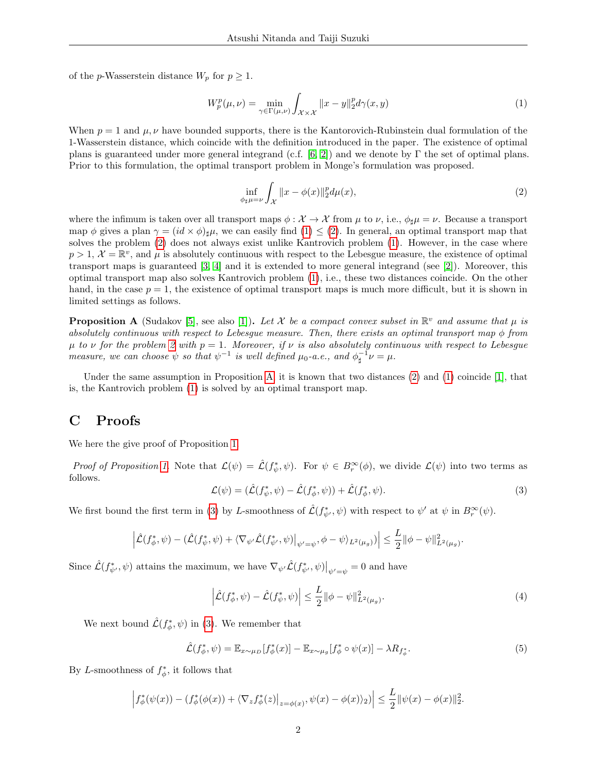of the p-Wasserstein distance  $W_p$  for  $p \geq 1$ .

<span id="page-1-0"></span>
$$
W_p^p(\mu, \nu) = \min_{\gamma \in \Gamma(\mu, \nu)} \int_{\mathcal{X} \times \mathcal{X}} ||x - y||_2^p d\gamma(x, y) \tag{1}
$$

When  $p = 1$  and  $\mu, \nu$  have bounded supports, there is the Kantorovich-Rubinstein dual formulation of the 1-Wasserstein distance, which coincide with the definition introduced in the paper. The existence of optimal plans is guaranteed under more general integrand (c.f. [\[6,](#page-4-0) [2\]](#page-3-0)) and we denote by Γ the set of optimal plans. Prior to this formulation, the optimal transport problem in Monge's formulation was proposed.

<span id="page-1-1"></span>
$$
\inf_{\phi_{\sharp}\mu=\nu} \int_{\mathcal{X}} \|x - \phi(x)\|_{2}^{p} d\mu(x), \tag{2}
$$

where the infimum is taken over all transport maps  $\phi : \mathcal{X} \to \mathcal{X}$  from  $\mu$  to  $\nu$ , i.e.,  $\phi_{\sharp}\mu = \nu$ . Because a transport map φ gives a plan  $\gamma = (id \times \phi)_{\sharp} \mu$ , we can easily find  $(1) \leq (2)$  $(1) \leq (2)$ . In general, an optimal transport map that solves the problem [\(2\)](#page-1-1) does not always exist unlike Kantrovich problem [\(1\)](#page-1-0). However, in the case where  $p > 1$ ,  $\mathcal{X} = \mathbb{R}^v$ , and  $\mu$  is absolutely continuous with respect to the Lebesgue measure, the existence of optimal transport maps is guaranteed [\[3,](#page-3-1) [4\]](#page-4-1) and it is extended to more general integrand (see [\[2\]](#page-3-0)). Moreover, this optimal transport map also solves Kantrovich problem [\(1\)](#page-1-0), i.e., these two distances coincide. On the other hand, in the case  $p = 1$ , the existence of optimal transport maps is much more difficult, but it is shown in limited settings as follows.

<span id="page-1-2"></span>**Proposition A** (Sudakov [\[5\]](#page-4-2), see also [\[1\]](#page-3-2)). Let X be a compact convex subset in  $\mathbb{R}^v$  and assume that  $\mu$  is absolutely continuous with respect to Lebesgue measure. Then, there exists an optimal transport map  $\phi$  from  $\mu$  to  $\nu$  for the problem [2](#page-1-1) with  $p = 1$ . Moreover, if  $\nu$  is also absolutely continuous with respect to Lebesgue measure, we can choose  $\psi$  so that  $\psi^{-1}$  is well defined  $\mu_0$ -a.e., and  $\phi_{\sharp}^{-1}\nu = \mu$ .

Under the same assumption in Proposition [A,](#page-1-2) it is known that two distances  $(2)$  and  $(1)$  coincide [\[1\]](#page-3-2), that is, the Kantrovich problem [\(1\)](#page-1-0) is solved by an optimal transport map.

# C Proofs

We here the give proof of Proposition [1.](#page-1-2)

<span id="page-1-3"></span>Proof of Proposition [1.](#page-1-2) Note that  $\mathcal{L}(\psi) = \mathcal{L}(f^*_\psi, \psi)$ . For  $\psi \in B_r^{\infty}(\phi)$ , we divide  $\mathcal{L}(\psi)$  into two terms as follows.

$$
\mathcal{L}(\psi) = (\hat{\mathcal{L}}(f^*_{\psi}, \psi) - \hat{\mathcal{L}}(f^*_{\phi}, \psi)) + \hat{\mathcal{L}}(f^*_{\phi}, \psi). \tag{3}
$$

We first bound the first term in [\(3\)](#page-1-3) by L-smoothness of  $\hat{\mathcal{L}}(f^*_{\psi'}, \psi)$  with respect to  $\psi'$  at  $\psi$  in  $B_r^{\infty}(\psi)$ .

$$
\left|\hat{\mathcal{L}}(f^*_{\phi},\psi) - (\hat{\mathcal{L}}(f^*_{\psi},\psi) + \langle \nabla_{\psi'}\hat{\mathcal{L}}(f^*_{\psi'},\psi)|_{\psi'=\psi},\phi-\psi\rangle_{L^2(\mu_g)})\right| \leq \frac{L}{2} \|\phi-\psi\|_{L^2(\mu_g)}^2.
$$

Since  $\hat{\mathcal{L}}(f^*_{\psi'}, \psi)$  attains the maximum, we have  $\nabla_{\psi'} \hat{\mathcal{L}}(f^*_{\psi'}, \psi)|_{\psi'=\psi} = 0$  and have

<span id="page-1-5"></span><span id="page-1-4"></span>
$$
\left| \hat{\mathcal{L}}(f_{\phi}^*, \psi) - \hat{\mathcal{L}}(f_{\psi}^*, \psi) \right| \le \frac{L}{2} \| \phi - \psi \|_{L^2(\mu_g)}^2.
$$
 (4)

We next bound  $\hat{\mathcal{L}}(f^*_{\phi}, \psi)$  in [\(3\)](#page-1-3). We remember that

$$
\hat{\mathcal{L}}(f_{\phi}^*, \psi) = \mathbb{E}_{x \sim \mu_D} [f_{\phi}^*(x)] - \mathbb{E}_{x \sim \mu_g} [f_{\phi}^* \circ \psi(x)] - \lambda R_{f_{\phi}^*}.
$$
\n
$$
(5)
$$

By L-smoothness of  $f^*_{\phi}$ , it follows that

$$
\left|f_{\phi}^*(\psi(x)) - (f_{\phi}^*(\phi(x)) + \langle \nabla_z f_{\phi}^*(z)|_{z=\phi(x)}, \psi(x) - \phi(x) \rangle_2)\right| \leq \frac{L}{2} ||\psi(x) - \phi(x)||_2^2.
$$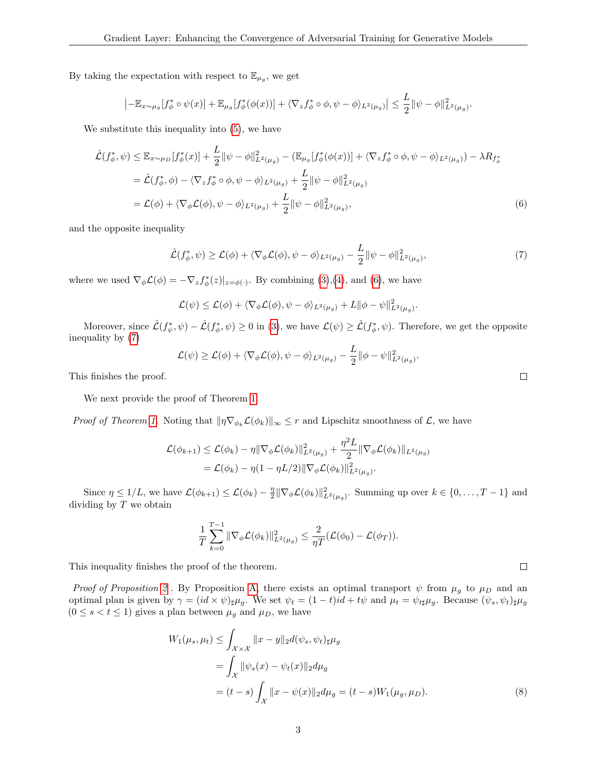By taking the expectation with respect to  $\mathbb{E}_{\mu_g}$ , we get

$$
\left| -\mathbb{E}_{x \sim \mu_g} [f_{\phi}^* \circ \psi(x)] + \mathbb{E}_{\mu_g} [f_{\phi}^* (\phi(x))] + \langle \nabla_z f_{\phi}^* \circ \phi, \psi - \phi \rangle_{L^2(\mu_g)} \right| \leq \frac{L}{2} \|\psi - \phi\|_{L^2(\mu_g)}^2.
$$

We substitute this inequality into [\(5\)](#page-1-4), we have

$$
\hat{\mathcal{L}}(f_{\phi}^*, \psi) \leq \mathbb{E}_{x \sim \mu_D} [f_{\phi}^*(x)] + \frac{L}{2} ||\psi - \phi||_{L^2(\mu_g)}^2 - (\mathbb{E}_{\mu_g} [f_{\phi}^*(\phi(x))] + \langle \nabla_z f_{\phi}^* \circ \phi, \psi - \phi \rangle_{L^2(\mu_g)}) - \lambda R_{f_{\phi}^*}
$$
\n
$$
= \hat{\mathcal{L}}(f_{\phi}^*, \phi) - \langle \nabla_z f_{\phi}^* \circ \phi, \psi - \phi \rangle_{L^2(\mu_g)} + \frac{L}{2} ||\psi - \phi||_{L^2(\mu_g)}^2
$$
\n
$$
= \mathcal{L}(\phi) + \langle \nabla_{\phi} \mathcal{L}(\phi), \psi - \phi \rangle_{L^2(\mu_g)} + \frac{L}{2} ||\psi - \phi||_{L^2(\mu_g)}^2,
$$
\n(6)

and the opposite inequality

<span id="page-2-1"></span>
$$
\hat{\mathcal{L}}(f_{\phi}^*, \psi) \ge \mathcal{L}(\phi) + \langle \nabla_{\phi} \mathcal{L}(\phi), \psi - \phi \rangle_{L^2(\mu_g)} - \frac{L}{2} ||\psi - \phi||^2_{L^2(\mu_g)},\tag{7}
$$

where we used  $\nabla_{\phi} \mathcal{L}(\phi) = -\nabla_z f_{\phi}^*(z)|_{z=\phi(\cdot)}$ . By combining [\(3\)](#page-1-3),[\(4\)](#page-1-5), and [\(6\)](#page-2-0), we have

$$
\mathcal{L}(\psi) \leq \mathcal{L}(\phi) + \langle \nabla_{\phi} \mathcal{L}(\phi), \psi - \phi \rangle_{L^2(\mu_g)} + L \|\phi - \psi\|_{L^2(\mu_g)}^2.
$$

Moreover, since  $\hat{\mathcal{L}}(f^*_{\psi}, \psi) - \hat{\mathcal{L}}(f^*_{\phi}, \psi) \ge 0$  in [\(3\)](#page-1-3), we have  $\mathcal{L}(\psi) \ge \hat{\mathcal{L}}(f^*_{\phi}, \psi)$ . Therefore, we get the opposite inequality by [\(7\)](#page-2-1)

$$
\mathcal{L}(\psi) \geq \mathcal{L}(\phi) + \langle \nabla_{\phi} \mathcal{L}(\phi), \psi - \phi \rangle_{L^2(\mu_g)} - \frac{L}{2} ||\phi - \psi||_{L^2(\mu_g)}^2.
$$

This finishes the proof.

We next provide the proof of Theorem [1.](#page-0-2)

*Proof of Theorem [1.](#page-0-2)* Noting that  $\|\eta \nabla_{\phi_k} \mathcal{L}(\phi_k)\|_{\infty} \leq r$  and Lipschitz smoothness of  $\mathcal{L}$ , we have

$$
\mathcal{L}(\phi_{k+1}) \leq \mathcal{L}(\phi_k) - \eta \|\nabla_{\phi} \mathcal{L}(\phi_k)\|_{L^2(\mu_g)}^2 + \frac{\eta^2 L}{2} \|\nabla_{\phi} \mathcal{L}(\phi_k)\|_{L^2(\mu_g)} \n= \mathcal{L}(\phi_k) - \eta(1 - \eta L/2) \|\nabla_{\phi} \mathcal{L}(\phi_k)\|_{L^2(\mu_g)}^2.
$$

Since  $\eta \leq 1/L$ , we have  $\mathcal{L}(\phi_{k+1}) \leq \mathcal{L}(\phi_k) - \frac{\eta}{2} \|\nabla_{\phi} \mathcal{L}(\phi_k)\|_{L^2(\mu_\theta)}^2$ . Summing up over  $k \in \{0, \ldots, T-1\}$  and dividing by  $T$  we obtain

$$
\frac{1}{T}\sum_{k=0}^{T-1}\|\nabla_{\phi}\mathcal{L}(\phi_k)\|_{L^2(\mu_g)}^2 \leq \frac{2}{\eta T}(\mathcal{L}(\phi_0)-\mathcal{L}(\phi_T)).
$$

This inequality finishes the proof of the theorem.

Proof of Proposition [2](#page-0-2). By Proposition [A,](#page-1-2) there exists an optimal transport  $\psi$  from  $\mu_g$  to  $\mu_D$  and an optimal plan is given by  $\gamma = (id \times \psi)_{\sharp} \mu_g$ . We set  $\psi_t = (1-t)id + t\psi$  and  $\mu_t = \psi_{t\sharp} \mu_g$ . Because  $(\psi_s, \psi_t)_{\sharp} \mu_g$  $(0 \leq s < t \leq 1)$  gives a plan between  $\mu_g$  and  $\mu_D$ , we have

$$
W_1(\mu_s, \mu_t) \le \int_{\mathcal{X} \times \mathcal{X}} ||x - y||_2 d(\psi_s, \psi_t)_{\sharp} \mu_g
$$
  
= 
$$
\int_{\mathcal{X}} ||\psi_s(x) - \psi_t(x)||_2 d\mu_g
$$
  
= 
$$
(t - s) \int_{\mathcal{X}} ||x - \psi(x)||_2 d\mu_g = (t - s) W_1(\mu_g, \mu_D).
$$
 (8)

<span id="page-2-2"></span> $\Box$ 

<span id="page-2-0"></span> $\Box$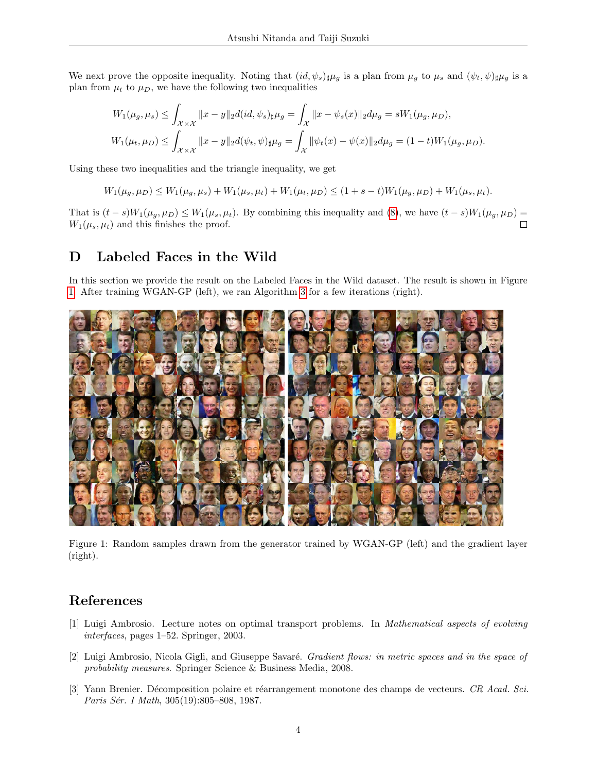We next prove the opposite inequality. Noting that  $(id, \psi_s)_\sharp \mu_q$  is a plan from  $\mu_q$  to  $\mu_s$  and  $(\psi_t, \psi)_\sharp \mu_q$  is a plan from  $\mu_t$  to  $\mu_D$ , we have the following two inequalities

$$
W_1(\mu_g, \mu_s) \le \int_{\mathcal{X} \times \mathcal{X}} ||x - y||_2 d(id, \psi_s)_{\sharp} \mu_g = \int_{\mathcal{X}} ||x - \psi_s(x)||_2 d\mu_g = sW_1(\mu_g, \mu_D),
$$
  

$$
W_1(\mu_t, \mu_D) \le \int_{\mathcal{X} \times \mathcal{X}} ||x - y||_2 d(\psi_t, \psi)_{\sharp} \mu_g = \int_{\mathcal{X}} ||\psi_t(x) - \psi(x)||_2 d\mu_g = (1 - t)W_1(\mu_g, \mu_D).
$$

Using these two inequalities and the triangle inequality, we get

$$
W_1(\mu_g, \mu_D) \le W_1(\mu_g, \mu_s) + W_1(\mu_s, \mu_t) + W_1(\mu_t, \mu_D) \le (1 + s - t)W_1(\mu_g, \mu_D) + W_1(\mu_s, \mu_t).
$$

That is  $(t-s)W_1(\mu_g, \mu_D) \leq W_1(\mu_s, \mu_t)$ . By combining this inequality and [\(8\)](#page-2-2), we have  $(t-s)W_1(\mu_g, \mu_D)$  =  $W_1(\mu_s, \mu_t)$  and this finishes the proof.  $\Box$ 

# D Labeled Faces in the Wild

In this section we provide the result on the Labeled Faces in the Wild dataset. The result is shown in Figure [1.](#page-3-3) After training WGAN-GP (left), we ran Algorithm [3](#page-0-2) for a few iterations (right).



<span id="page-3-3"></span>Figure 1: Random samples drawn from the generator trained by WGAN-GP (left) and the gradient layer (right).

## References

- <span id="page-3-2"></span>[1] Luigi Ambrosio. Lecture notes on optimal transport problems. In Mathematical aspects of evolving interfaces, pages 1–52. Springer, 2003.
- <span id="page-3-0"></span>[2] Luigi Ambrosio, Nicola Gigli, and Giuseppe Savaré. *Gradient flows: in metric spaces and in the space of* probability measures. Springer Science & Business Media, 2008.
- <span id="page-3-1"></span>[3] Yann Brenier. Décomposition polaire et réarrangement monotone des champs de vecteurs. CR Acad. Sci. Paris Sér. I Math, 305(19):805–808, 1987.